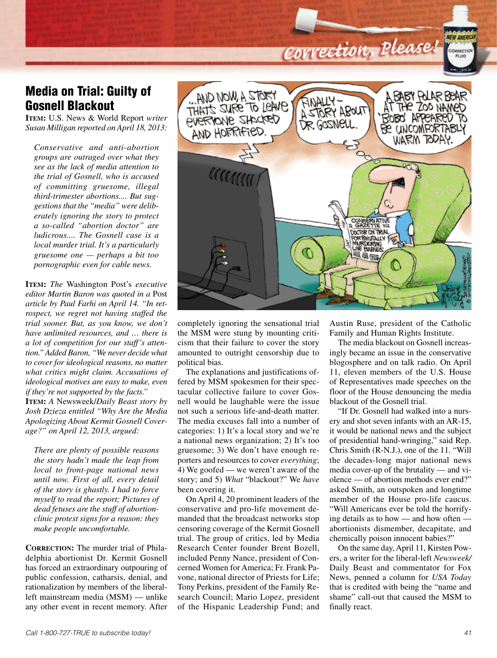## Correction, Please!

**NEW AMERI** 

CORRECTION

## Media on Trial: Guilty of Gosnell Blackout

**Item:** U.S. News & World Report *writer Susan Milligan reported on April 18, 2013:*

*Conservative and anti-abortion groups are outraged over what they see as the lack of media attention to the trial of Gosnell, who is accused of committing gruesome, illegal third-trimester abortions.... But suggestions that the "media" were deliberately ignoring the story to protect a so-called "abortion doctor" are ludicrous.... The Gosnell case is a local murder trial. It's a particularly gruesome one — perhaps a bit too pornographic even for cable news.*

**Item:** *The* Washington Post's *executive editor Martin Baron was quoted in a* Post *article by Paul Farhi on April 14. "In retrospect, we regret not having staffed the trial sooner. But, as you know, we don't have unlimited resources, and … there is a lot of competition for our staff's attention." Added Baron, "We never decide what to cover for ideological reasons, no matter what critics might claim. Accusations of ideological motives are easy to make, even if they're not supported by the facts."* **Item:** *A* Newsweek/*Daily Beast story by Josh Dzieza entitled "Why Are the Media* 

*Apologizing About Kermit Gosnell Coverage?" on April 12, 2013, argued:* 

*There are plenty of possible reasons the story hadn't made the leap from local to front-page national news until now. First of all, every detail of the story is ghastly. I had to force myself to read the report; Pictures of dead fetuses are the stuff of abortionclinic protest signs for a reason: they make people uncomfortable.*

**CORRECTION:** The murder trial of Philadelphia abortionist Dr. Kermit Gosnell has forced an extraordinary outpouring of public confession, catharsis, denial, and rationalization by members of the liberalleft mainstream media (MSM) — unlike any other event in recent memory. After



completely ignoring the sensational trial the MSM were stung by mounting criticism that their failure to cover the story amounted to outright censorship due to political bias.

The explanations and justifications offered by MSM spokesmen for their spectacular collective failure to cover Gosnell would be laughable were the issue not such a serious life-and-death matter. The media excuses fall into a number of categories: 1) It's a local story and we're a national news organization; 2) It's too gruesome; 3) We don't have enough reporters and resources to cover *everything*; 4) We goofed — we weren't aware of the story; and 5) *What* "blackout?" We *have* been covering it.

On April 4, 20 prominent leaders of the conservative and pro-life movement demanded that the broadcast networks stop censoring coverage of the Kermit Gosnell trial. The group of critics, led by Media Research Center founder Brent Bozell, included Penny Nance, president of Concerned Women for America; Fr. Frank Pavone, national director of Priests for Life; Tony Perkins, president of the Family Research Council; Mario Lopez, president of the Hispanic Leadership Fund; and

Austin Ruse, president of the Catholic Family and Human Rights Institute.

The media blackout on Gosnell increasingly became an issue in the conservative blogosphere and on talk radio. On April 11, eleven members of the U.S. House of Representatives made speeches on the floor of the House denouncing the media blackout of the Gosnell trial.

"If Dr. Gosnell had walked into a nursery and shot seven infants with an AR-15, it would be national news and the subject of presidential hand-wringing," said Rep. Chris Smith (R-N.J.), one of the 11. "Will the decades-long major national news media cover-up of the brutality — and violence — of abortion methods ever end?" asked Smith, an outspoken and longtime member of the House pro-life caucus. "Will Americans ever be told the horrifying details as to how — and how often abortionists dismember, decapitate, and chemically poison innocent babies?"

On the same day, April 11, Kirsten Powers, a writer for the liberal-left *Newsweek/* Daily Beast and commentator for Fox News, penned a column for *USA Today* that is credited with being the "name and shame" call-out that caused the MSM to finally react.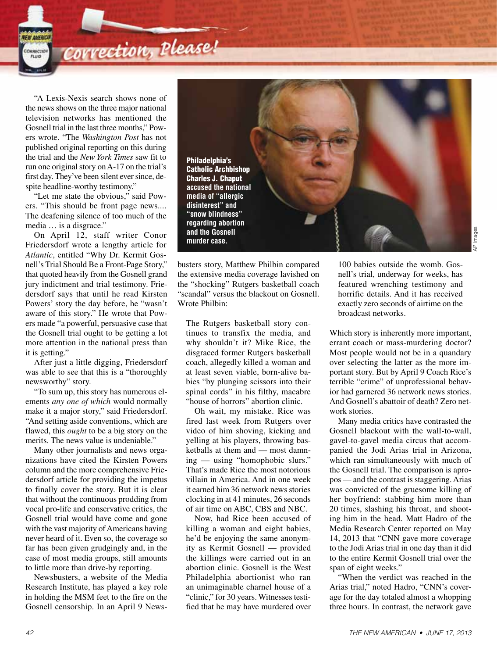Correction, Please!

"A Lexis-Nexis search shows none of the news shows on the three major national television networks has mentioned the Gosnell trial in the last three months," Powers wrote. "The *Washington Post* has not published original reporting on this during the trial and the *New York Times* saw fit to run one original story on A-17 on the trial's first day. They've been silent ever since, despite headline-worthy testimony."

**IFW AMFRIC** CORRECTION

"Let me state the obvious," said Powers. "This should be front page news.... The deafening silence of too much of the media … is a disgrace."

On April 12, staff writer Conor Friedersdorf wrote a lengthy article for *Atlantic*, entitled "Why Dr. Kermit Gosnell's Trial Should Be a Front-Page Story," that quoted heavily from the Gosnell grand jury indictment and trial testimony. Friedersdorf says that until he read Kirsten Powers' story the day before, he "wasn't aware of this story." He wrote that Powers made "a powerful, persuasive case that the Gosnell trial ought to be getting a lot more attention in the national press than it is getting."

After just a little digging, Friedersdorf was able to see that this is a "thoroughly newsworthy" story.

"To sum up, this story has numerous elements *any one of which* would normally make it a major story," said Friedersdorf. "And setting aside conventions, which are flawed, this *ought* to be a big story on the merits. The news value is undeniable."

Many other journalists and news organizations have cited the Kirsten Powers column and the more comprehensive Friedersdorf article for providing the impetus to finally cover the story. But it is clear that without the continuous prodding from vocal pro-life and conservative critics, the Gosnell trial would have come and gone with the vast majority of Americans having never heard of it. Even so, the coverage so far has been given grudgingly and, in the case of most media groups, still amounts to little more than drive-by reporting.

Newsbusters, a website of the Media Research Institute, has played a key role in holding the MSM feet to the fire on the Gosnell censorship. In an April 9 News-



busters story, Matthew Philbin compared the extensive media coverage lavished on the "shocking" Rutgers basketball coach "scandal" versus the blackout on Gosnell. Wrote Philbin:

The Rutgers basketball story continues to transfix the media, and why shouldn't it? Mike Rice, the disgraced former Rutgers basketball coach, allegedly killed a woman and at least seven viable, born-alive babies "by plunging scissors into their spinal cords" in his filthy, macabre "house of horrors" abortion clinic.

Oh wait, my mistake. Rice was fired last week from Rutgers over video of him shoving, kicking and yelling at his players, throwing basketballs at them and — most damning — using "homophobic slurs." That's made Rice the most notorious villain in America. And in one week it earned him 36 network news stories clocking in at 41 minutes, 26 seconds of air time on ABC, CBS and NBC.

Now, had Rice been accused of killing a woman and eight babies, he'd be enjoying the same anonymity as Kermit Gosnell — provided the killings were carried out in an abortion clinic. Gosnell is the West Philadelphia abortionist who ran an unimaginable charnel house of a "clinic," for 30 years. Witnesses testified that he may have murdered over

100 babies outside the womb. Gosnell's trial, underway for weeks, has featured wrenching testimony and horrific details. And it has received exactly zero seconds of airtime on the broadcast networks.

Which story is inherently more important, errant coach or mass-murdering doctor? Most people would not be in a quandary over selecting the latter as the more important story. But by April 9 Coach Rice's terrible "crime" of unprofessional behavior had garnered 36 network news stories. And Gosnell's abattoir of death? Zero network stories.

Many media critics have contrasted the Gosnell blackout with the wall-to-wall, gavel-to-gavel media circus that accompanied the Jodi Arias trial in Arizona, which ran simultaneously with much of the Gosnell trial. The comparison is apropos — and the contrast is staggering. Arias was convicted of the gruesome killing of her boyfriend: stabbing him more than 20 times, slashing his throat, and shooting him in the head. Matt Hadro of the Media Research Center reported on May 14, 2013 that "CNN gave more coverage to the Jodi Arias trial in one day than it did to the entire Kermit Gosnell trial over the span of eight weeks."

"When the verdict was reached in the Arias trial," noted Hadro, "CNN's coverage for the day totaled almost a whopping three hours. In contrast, the network gave